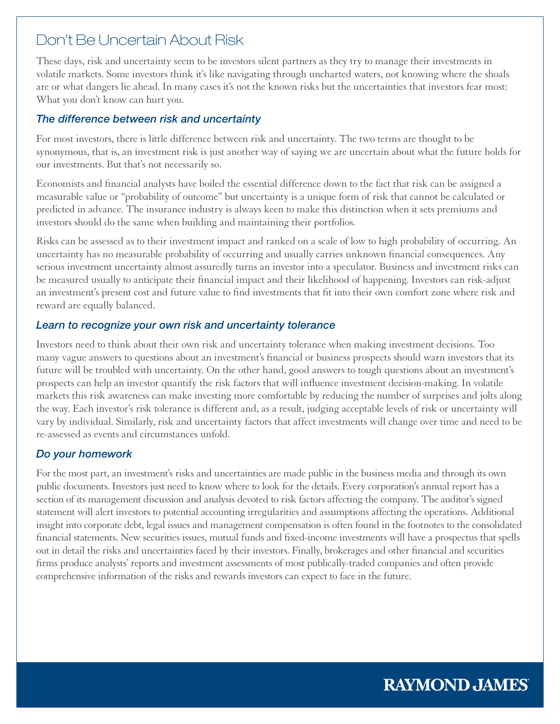# Don't Be Uncertain About Risk

These days, risk and uncertainty seem to be investors silent partners as they try to manage their investments in volatile markets. Some investors think it's like navigating through uncharted waters, not knowing where the shoals are or what dangers lie ahead. In many cases it's not the known risks but the uncertainties that investors fear most: What you don't know can hurt you.

## *The difference between risk and uncertainty*

For most investors, there is little difference between risk and uncertainty. The two terms are thought to be synonymous, that is, an investment risk is just another way of saying we are uncertain about what the future holds for our investments. But that's not necessarily so.

Economists and financial analysts have boiled the essential difference down to the fact that risk can be assigned a measurable value or "probability of outcome" but uncertainty is a unique form of risk that cannot be calculated or predicted in advance. The insurance industry is always keen to make this distinction when it sets premiums and investors should do the same when building and maintaining their portfolios.

Risks can be assessed as to their investment impact and ranked on a scale of low to high probability of occurring. An uncertainty has no measurable probability of occurring and usually carries unknown financial consequences. Any serious investment uncertainty almost assuredly turns an investor into a speculator. Business and investment risks can be measured usually to anticipate their financial impact and their likelihood of happening. Investors can risk-adjust an investment's present cost and future value to find investments that fit into their own comfort zone where risk and reward are equally balanced.

## *Learn to recognize your own risk and uncertainty tolerance*

Investors need to think about their own risk and uncertainty tolerance when making investment decisions. Too many vague answers to questions about an investment's financial or business prospects should warn investors that its future will be troubled with uncertainty. On the other hand, good answers to tough questions about an investment's prospects can help an investor quantify the risk factors that will influence investment decision-making. In volatile markets this risk awareness can make investing more comfortable by reducing the number of surprises and jolts along the way. Each investor's risk tolerance is different and, as a result, judging acceptable levels of risk or uncertainty will vary by individual. Similarly, risk and uncertainty factors that affect investments will change over time and need to be re-assessed as events and circumstances unfold.

# *Do your homework*

For the most part, an investment's risks and uncertainties are made public in the business media and through its own public documents. Investors just need to know where to look for the details. Every corporation's annual report has a section of its management discussion and analysis devoted to risk factors affecting the company. The auditor's signed statement will alert investors to potential accounting irregularities and assumptions affecting the operations. Additional insight into corporate debt, legal issues and management compensation is often found in the footnotes to the consolidated financial statements. New securities issues, mutual funds and fixed-income investments will have a prospectus that spells out in detail the risks and uncertainties faced by their investors. Finally, brokerages and other financial and securities firms produce analysts' reports and investment assessments of most publically-traded companies and often provide comprehensive information of the risks and rewards investors can expect to face in the future.